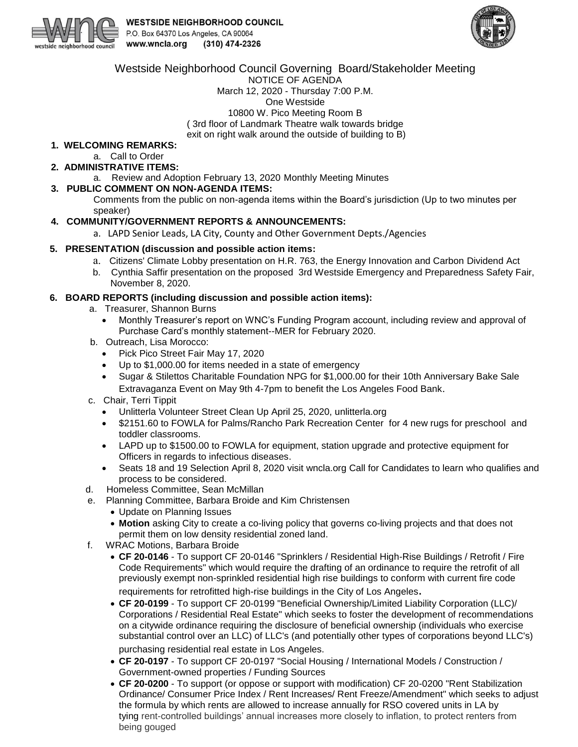



Westside Neighborhood Council Governing Board/Stakeholder Meeting

NOTICE OF AGENDA March 12, 2020 - Thursday 7:00 P.M. One Westside 10800 W. Pico Meeting Room B ( 3rd floor of Landmark Theatre walk towards bridge exit on right walk around the outside of building to B)

## **1. WELCOMING REMARKS:**

- a. Call to Order
- **2. ADMINISTRATIVE ITEMS:**

a. Review and Adoption February 13, 2020 Monthly Meeting Minutes

## **3. PUBLIC COMMENT ON NON-AGENDA ITEMS:**

Comments from the public on non-agenda items within the Board's jurisdiction (Up to two minutes per speaker)

## **4. COMMUNITY/GOVERNMENT REPORTS & ANNOUNCEMENTS:**

a. LAPD Senior Leads, LA City, County and Other Government Depts./Agencies

#### **5. PRESENTATION (discussion and possible action items:**

- a. Citizens' Climate Lobby presentation on H.R. 763, the Energy Innovation and Carbon Dividend Act
- b. Cynthia Saffir presentation on the proposed 3rd Westside Emergency and Preparedness Safety Fair, November 8, 2020.

## **6. BOARD REPORTS (including discussion and possible action items):**

- a. Treasurer, Shannon Burns
	- Monthly Treasurer's report on WNC's Funding Program account, including review and approval of Purchase Card's monthly statement--MER for February 2020.
- b. Outreach, Lisa Morocco:
	- Pick Pico Street Fair May 17, 2020
	- Up to \$1,000.00 for items needed in a state of emergency
	- Sugar & Stilettos Charitable Foundation NPG for \$1,000.00 for their 10th Anniversary Bake Sale Extravaganza Event on May 9th 4-7pm to benefit the Los Angeles Food Bank.
- c. Chair, Terri Tippit
	- Unlitterla Volunteer Street Clean Up April 25, 2020, unlitterla.org
	- \$2151.60 to FOWLA for Palms/Rancho Park Recreation Center for 4 new rugs for preschool and toddler classrooms.
	- LAPD up to \$1500.00 to FOWLA for equipment, station upgrade and protective equipment for Officers in regards to infectious diseases.
	- Seats 18 and 19 Selection April 8, 2020 visit wncla.org Call for Candidates to learn who qualifies and process to be considered.
- d. Homeless Committee, Sean McMillan
- e. Planning Committee, Barbara Broide and Kim Christensen
	- Update on Planning Issues
	- **Motion** asking City to create a co-living policy that governs co-living projects and that does not permit them on low density residential zoned land.
- f. WRAC Motions, Barbara Broide
	- **CF 20-0146** To support CF 20-0146 "Sprinklers / Residential High-Rise Buildings / Retrofit / Fire Code Requirements" which would require the drafting of an ordinance to require the retrofit of all previously exempt non-sprinkled residential high rise buildings to conform with current fire code requirements for retrofitted high-rise buildings in the City of Los Angeles.
	- **CF 20-0199**  To support CF 20-0199 "Beneficial Ownership/Limited Liability Corporation (LLC)/ Corporations / Residential Real Estate" which seeks to foster the development of recommendations on a citywide ordinance requiring the disclosure of beneficial ownership (individuals who exercise substantial control over an LLC) of LLC's (and potentially other types of corporations beyond LLC's) purchasing residential real estate in Los Angeles.
	- **CF 20-0197** To support CF 20-0197 "Social Housing / International Models / Construction / Government-owned properties / Funding Sources
	- **CF 20-0200** To support (or oppose or support with modification) CF 20-0200 "Rent Stabilization Ordinance/ Consumer Price Index / Rent Increases/ Rent Freeze/Amendment" which seeks to adjust the formula by which rents are allowed to increase annually for RSO covered units in LA by tying rent-controlled buildings' annual increases more closely to inflation, to protect renters from being gouged